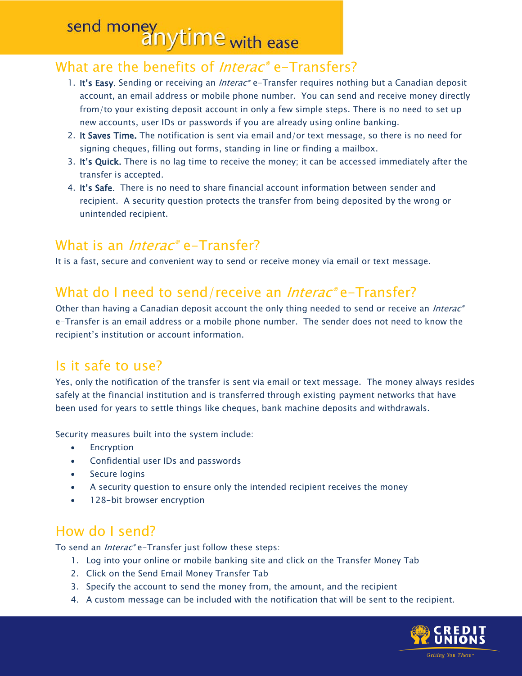## send money<br>anytime with ease

#### What are the benefits of *Interac*<sup>®</sup> e-Transfers?

- 1. It's Easy. Sending or receiving an *Interac*® e-Transfer requires nothing but a Canadian deposit account, an email address or mobile phone number. You can send and receive money directly from/to your existing deposit account in only a few simple steps. There is no need to set up new accounts, user IDs or passwords if you are already using online banking.
- 2. It Saves Time. The notification is sent via email and/or text message, so there is no need for signing cheques, filling out forms, standing in line or finding a mailbox.
- 3. It's Quick. There is no lag time to receive the money; it can be accessed immediately after the transfer is accepted.
- 4. It's Safe. There is no need to share financial account information between sender and recipient. A security question protects the transfer from being deposited by the wrong or unintended recipient.

#### What is an *Interac*® e-Transfer?

It is a fast, secure and convenient way to send or receive money via email or text message.

#### What do I need to send/receive an *Interac*® e-Transfer?

Other than having a Canadian deposit account the only thing needed to send or receive an *Interac*® e-Transfer is an email address or a mobile phone number. The sender does not need to know the recipient's institution or account information.

#### Is it safe to use?

Yes, only the notification of the transfer is sent via email or text message. The money always resides safely at the financial institution and is transferred through existing payment networks that have been used for years to settle things like cheques, bank machine deposits and withdrawals.

Security measures built into the system include:

- Encryption
- Confidential user IDs and passwords
- Secure logins
- A security question to ensure only the intended recipient receives the money
- 128-bit browser encryption

#### How do I send?

To send an *Interac®* e-Transfer just follow these steps:

- 1. Log into your [online or mobile banking](https://www.caissepopclare.com/Home/OnlineBanking/) site and click on the Transfer Money Tab
- 2. Click on the Send Email Money Transfer Tab
- 3. Specify the account to send the money from, the amount, and the recipient
- 4. A custom message can be included with the notification that will be sent to the recipient.

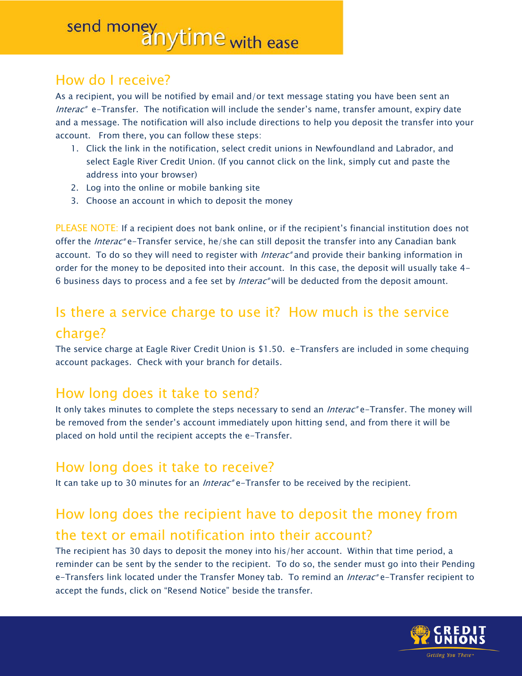# send money<br>anytime with ease

#### How do I receive?

As a recipient, you will be notified by email and/or text message stating you have been sent an *Interac*<sup>®</sup> e-Transfer. The notification will include the sender's name, transfer amount, expiry date and a message. The notification will also include directions to help you deposit the transfer into your account. From there, you can follow these steps:

- 1. Click the link in the notification, select credit unions in Newfoundland and Labrador, and select Eagle River Credit Union. (If you cannot click on the link, simply cut and paste the address into your browser)
- 2. Log into the online or mobile banking site
- 3. Choose an account in which to deposit the money

PLEASE NOTE: If a recipient does not bank online, or if the recipient's financial institution does not offer the *Interac*® e-Transfer service, he/she can still deposit the transfer into any Canadian bank account. To do so they will need to register with *Interac*® and provide their banking information in order for the money to be deposited into their account. In this case, the deposit will usually take 4- 6 business days to process and a fee set by Interac® will be deducted from the deposit amount.

## Is there a service charge to use it? How much is the service charge?

The service charge at Eagle River Credit Union is \$1.50. e-Transfers are included in some chequing account packages. Check with your branch for details.

### How long does it take to send?

It only takes minutes to complete the steps necessary to send an *Interac*® e-Transfer. The money will be removed from the sender's account immediately upon hitting send, and from there it will be placed on hold until the recipient accepts the e-Transfer.

#### How long does it take to receive?

It can take up to 30 minutes for an *Interac®* e-Transfer to be received by the recipient.

## How long does the recipient have to deposit the money from the text or email notification into their account?

The recipient has 30 days to deposit the money into his/her account. Within that time period, a reminder can be sent by the sender to the recipient. To do so, the sender must go into their Pending e-Transfers link located under the Transfer Money tab. To remind an *Interac®* e-Transfer recipient to accept the funds, click on "Resend Notice" beside the transfer.